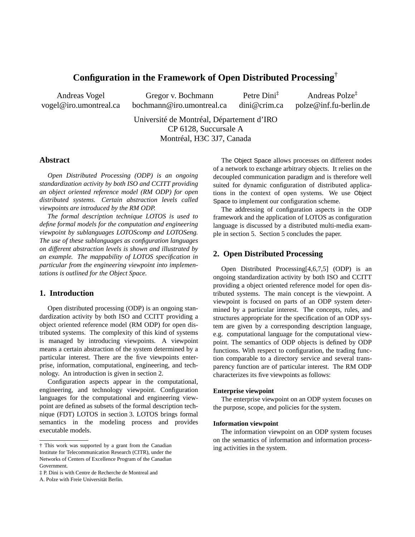# **Configuration in the Framework of Open Distributed Processing**†

Andreas Vogel Gregor v. Bochmann Petre Dini<sup>‡</sup> Andreas Polze<sup>‡</sup> vogel@iro.umontreal.ca bochmann@iro.umontreal.ca dini@crim.ca polze@inf.fu-berlin.de

Université de Montréal, Département d'IRO CP 6128, Succursale A Montréal, H3C 3J7, Canada

# **Abstract**

*Open Distributed Processing (ODP) is an ongoing standardization activity by both ISO and CCITT providing an object oriented reference model (RM ODP) for open distributed systems. Certain abstraction levels called viewpoints are introduced by the RM ODP.*

*The formal description technique LOTOS is used to define formal models for the computation and engineering viewpoint by sublanguages LOT OScomp and LOTOSeng. The use of these sublanguages as configuration languages on different abstraction levels is shown and illustrated by an example. The mappability of LOTOS specification in particular from the engineering viewpoint into implementations is outlined for the Object Space.*

### **1. Introduction**

Open distributed processing (ODP) is an ongoing standardization activity by both ISO and CCITT providing a object oriented reference model (RM ODP) for open distributed systems. The complexity of this kind of systems is managed by introducing viewpoints. A viewpoint means a certain abstraction of the system determined by a particular interest. There are the five viewpoints enterprise, information, computational, engineering, and technology. An introduction is given in section 2.

Configuration aspects appear in the computational, engineering, and technology viewpoint. Configuration languages for the computational and engineering viewpoint are defined as subsets of the formal description technique (FDT) LOTOS in section 3. LOTOS brings formal semantics in the modeling process and provides executable models.

The Object Space allows processes on different nodes of a network to exchange arbitrary objects. It relies on the decoupled communication paradigm and is therefore well suited for dynamic configuration of distributed applications in the context of open systems. We use Object Space to implement our configuration scheme.

The addressing of configuration aspects in the ODP framework and the application of LOTOS as configuration language is discussed by a distributed multi-media example in section 5. Section 5 concludes the paper.

## **2. Open Distributed Processing**

Open Distributed Processing[4,6,7,5] (ODP) is an ongoing standardization activity by both ISO and CCITT providing a object oriented reference model for open distributed systems. The main concept is the viewpoint. A viewpoint is focused on parts of an ODP system determined by a particular interest. The concepts, rules, and structures appropriate for the specification of an ODP system are given by a corresponding description language, e.g. computational language for the computational viewpoint. The semantics of ODP objects is defined by ODP functions. With respect to configuration, the trading function comparable to a directory service and several transparency function are of particular interest. The RM ODP characterizes its five viewpoints as follows:

#### **Enterprise viewpoint**

The enterprise viewpoint on an ODP system focuses on the purpose, scope, and policies for the system.

#### **Information viewpoint**

The information viewpoint on an ODP system focuses on the semantics of information and information processing activities in the system.

<sup>†</sup> This work was supported by a grant from the Canadian Institute for Telecommunication Research (CITR), under the Networks of Centers of Excellence Program of the Canadian Government.

<sup>‡</sup> P. Dini is with Centre de Recherche de Montreal and

A. Polze with Freie Universität Berlin.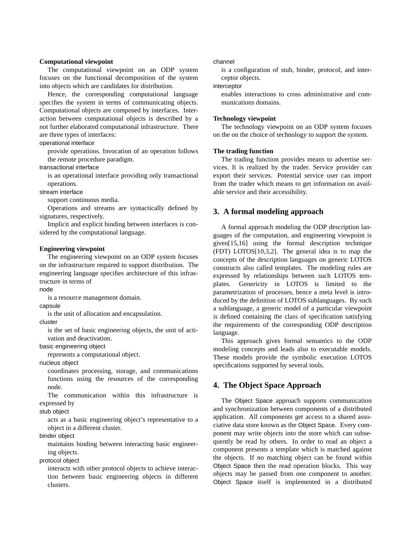#### **Computational viewpoint**

The computational viewpoint on an ODP system focuses on the functional decomposition of the system into objects which are candidates for distribution.

Hence, the corresponding computational language specifies the system in terms of communicating objects. Computational objects are composed by interfaces. Interaction between computational objects is described by a not further elaborated computational infrastructure. There are three types of interfaces:

operational interface

provide operations. Invocation of an operation follows the remote procedure paradigm.

transactional interface

is an operational interface providing only transactional operations.

stream interface

support continuous media.

Operations and streams are syntactically defined by signatures, respectively.

Implicit and explicit binding between interfaces is considered by the computational language.

#### **Engineering viewpoint**

The engineering viewpoint on an ODP system focuses on the infrastructure required to support distribution. The engineering language specifies architecture of this infrastructure in terms of

node

is a resource management domain.

capsule

is the unit of allocation and encapsulation.

cluster

is the set of basic engineering objects, the unit of activation and deactivation.

basic engineering object

represents a computational object.

nucleus object

coordinates processing, storage, and communications functions using the resources of the corresponding node.

The communication within this infrastructure is expressed by

stub object

acts as a basic engineering object's representative to a object in a different cluster.

binder object

maintains binding between interacting basic engineering objects.

protocol object

interacts with other protocol objects to achieve interaction between basic engineering objects in different clusters.

#### channel

is a configuration of stub, binder, protocol, and interceptor objects.

interceptor

enables interactions to cross administrative and communications domains.

### **Technology viewpoint**

The technology viewpoint on an ODP system focuses on the on the choice of technology to support the system.

#### **The trading function**

The trading function provides means to advertise services. It is realized by the trader. Service provider can export their services. Potential service user can import from the trader which means to get information on available service and their accessibility.

# **3. A formal modeling approach**

A formal approach modeling the ODP description languages of the computation, and engineering viewpoint is given[15,16] using the formal description technique (FDT) LOTOS[10,3,2]. The general idea is to map the concepts of the description languages on generic LOTOS constructs also called templates. The modeling rules are expressed by relationships between such LOTOS templates. Genericity in LOTOS is limited to the parametrization of processes, hence a meta level is introduced by the definition of LOTOS sublanguages. By such a sublanguage, a generic model of a particular viewpoint is defined containing the class of specification satisfying the requirements of the corresponding ODP description language.

This approach gives formal semantics to the ODP modeling concepts and leads also to executable models. These models provide the symbolic execution LOTOS specifications supported by several tools.

## **4. The Object Space Approach**

The Object Space approach supports communication and synchronization between components of a distributed application. All components get access to a shared associative data store known as the Object Space. Every component may write objects into the store which can subsequently be read by others. In order to read an object a component presents a template which is matched against the objects. If no matching object can be found within Object Space then the read operation blocks. This way objects may be passed from one component to another. Object Space itself is implemented in a distributed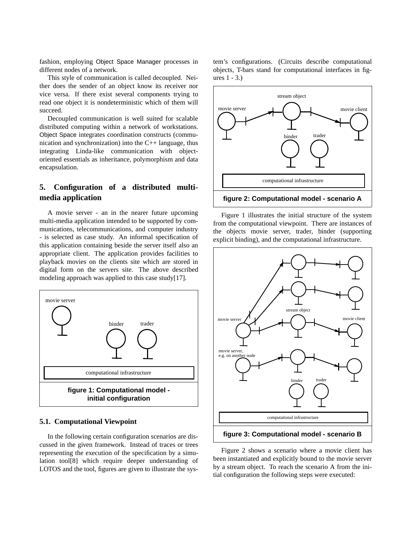fashion, employing Object Space Manager processes in different nodes of a network.

This style of communication is called decoupled. Neither does the sender of an object know its receiver nor vice versa. If there exist several components trying to read one object it is nondeterministic which of them will succeed.

Decoupled communication is well suited for scalable distributed computing within a network of workstations. Object Space integrates coordination constructs (communication and synchronization) into the  $C++$  language, thus integrating Linda-like communication with objectoriented essentials as inheritance, polymorphism and data encapsulation.

# **5. Configuration of a distributed multimedia application**

A movie server - an in the nearer future upcoming multi-media application intended to be supported by communications, telecommunications, and computer industry - is selected as case study. An informal specification of this application containing beside the server itself also an appropriate client. The application provides facilities to playback movies on the clients site which are stored in digital form on the servers site. The above described modeling approach was applied to this case study[17].



## **5.1. Computational Viewpoint**

In the following certain configuration scenarios are discussed in the given framework. Instead of traces or trees representing the execution of the specification by a simulation tool[8] which require deeper understanding of LOTOS and the tool, figures are given to illustrate the system's configurations. (Circuits describe computational objects, T-bars stand for computational interfaces in figures 1 - 3.)



Figure 1 illustrates the initial structure of the system from the computational viewpoint. There are instances of the objects movie server, trader, binder (supporting explicit binding), and the computational infrastructure.



# **figure 3: Computational model - scenario B**

Figure 2 shows a scenario where a movie client has been instantiated and explicitly bound to the movie server by a stream object. To reach the scenario A from the initial configuration the following steps were executed: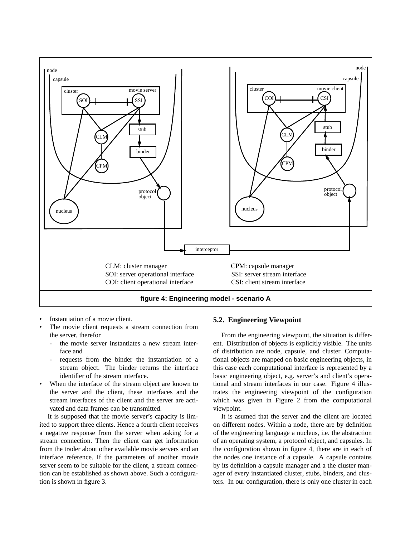

- Instantiation of a movie client.
- The movie client requests a stream connection from the server, therefor
	- the movie server instantiates a new stream interface and
	- requests from the binder the instantiation of a stream object. The binder returns the interface identifier of the stream interface.
- When the interface of the stream object are known to the server and the client, these interfaces and the stream interfaces of the client and the server are activated and data frames can be transmitted.

It is supposed that the movie server's capacity is limited to support three clients. Hence a fourth client receives a negative response from the server when asking for a stream connection. Then the client can get information from the trader about other available movie servers and an interface reference. If the parameters of another movie server seem to be suitable for the client, a stream connection can be established as shown above. Such a configuration is shown in figure 3.

#### **5.2. Engineering Viewpoint**

From the engineering viewpoint, the situation is different. Distribution of objects is explicitly visible. The units of distribution are node, capsule, and cluster. Computational objects are mapped on basic engineering objects, in this case each computational interface is represented by a basic engineering object, e.g. server's and client's operational and stream interfaces in our case. Figure 4 illustrates the engineering viewpoint of the configuration which was given in Figure 2 from the computational viewpoint.

It is asumed that the server and the client are located on different nodes. Within a node, there are by definition of the engineering language a nucleus, i.e. the abstraction of an operating system, a protocol object, and capsules. In the configuration shown in figure 4, there are in each of the nodes one instance of a capsule. A capsule contains by its definition a capsule manager and a the cluster manager of every instantiated cluster, stubs, binders, and clusters. In our configuration, there is only one cluster in each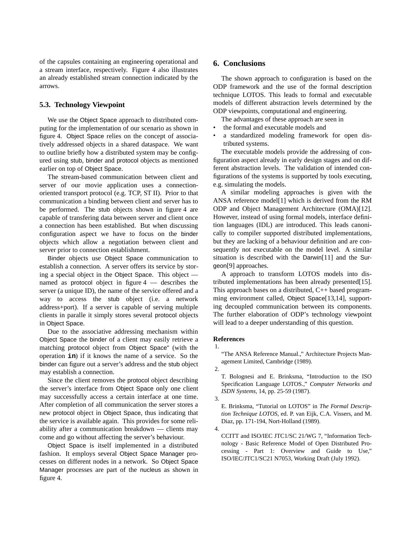of the capsules containing an engineering operational and a stream interface, respectively. Figure 4 also illustrates an already established stream connection indicated by the arrows.

## **5.3. Technology Viewpoint**

We use the Object Space approach to distributed computing for the implementation of our scenario as shown in figure 4. Object Space relies on the concept of associatively addressed objects in a shared dataspace. We want to outline briefly how a distributed system may be configured using stub, binder and protocol objects as mentioned earlier on top of Object Space.

The stream-based communication between client and server of our movie application uses a connectionoriented transport protocol (e.g. TCP, ST II). Prior to that communication a binding between client and server has to be performed. The stub objects shown in figure 4 are capable of transfering data between server and client once a connection has been established. But when discussing configuration aspect we have to focus on the binder objects which allow a negotiation between client and server prior to connection establishment.

Binder objects use Object Space communication to establish a connection. A server offers its service by storing a special object in the Object Space. This object named as protocol object in figure  $4$  — describes the server (a unique ID), the name of the service offered and a way to access the stub object (i.e. a network address+port). If a server is capable of serving multiple clients in paralle it simply stores several protocol objects in Object Space.

Due to the associative addressing mechanism within Object Space the binder of a client may easily retrieve a matching protocol object from Object Space" (with the operation **in**) if it knows the name of a service. So the binder can figure out a server's address and the stub object may establish a connection.

Since the client removes the protocol object describing the server's interface from Object Space only one client may successfully access a certain interface at one time. After completion of all communication the server stores a new protocol object in Object Space, thus indicating that the service is available again. This provides for some reliability after a communication breakdown — clients may come and go without affecting the server's behaviour.

Object Space is itself implemented in a distributed fashion. It employs several Object Space Manager processes on different nodes in a network. So Object Space Manager processes are part of the nucleus as shown in figure 4.

# **6. Conclusions**

The shown approach to configuration is based on the ODP framework and the use of the formal description technique LOTOS. This leads to formal and executable models of different abstraction levels determined by the ODP viewpoints, computational and engineering.

The advantages of these approach are seen in

- the formal and executable models and
- a standardized modeling framework for open distributed systems.

The executable models provide the addressing of configuration aspect already in early design stages and on different abstraction levels. The validation of intended configurations of the systems is supported by tools executing, e.g. simulating the models.

A similar modeling approaches is given with the ANSA reference model[1] which is derived from the RM ODP and Object Management Architecture (OMA)[12]. However, instead of using formal models, interface definition languages (IDL) are introduced. This leads canonically to compiler supported distributed implementations, but they are lacking of a behaviour definition and are consequently not executable on the model level. A similar situation is described with the Darwin[11] and the Surgeon[9] approaches.

A approach to transform LOTOS models into distributed implementations has been already presented[15]. This approach bases on a distributed, C++ based programming environment called, Object Space[13,14], supporting decoupled communication between its components. The further elaboration of ODP's technology viewpoint will lead to a deeper understanding of this question.

#### **References**

"The ANSA Reference Manual.," Architecture Projects Management Limited, Cambridge (1989).

2.

1.

T. Bolognesi and E. Brinksma, "Introduction to the ISO Specification Language LOTOS.," *Computer Networks and ISDN Systems,* 14, pp. 25-59 (1987).

E. Brinksma, "Tutorial on LOTOS" in *The Formal Description Technique LOTOS,* ed. P. van Eijk, C.A. Vissers, and M. Diaz, pp. 171-194, Nort-Holland (1989).

4.

CCITT and ISO/IEC JTC1/SC 21/WG 7, "Information Technology - Basic Reference Model of Open Distributed Processing - Part 1: Overview and Guide to Use," ISO/IEC/JTC1/SC21 N7053, Working Draft (July 1992).

<sup>3.</sup>